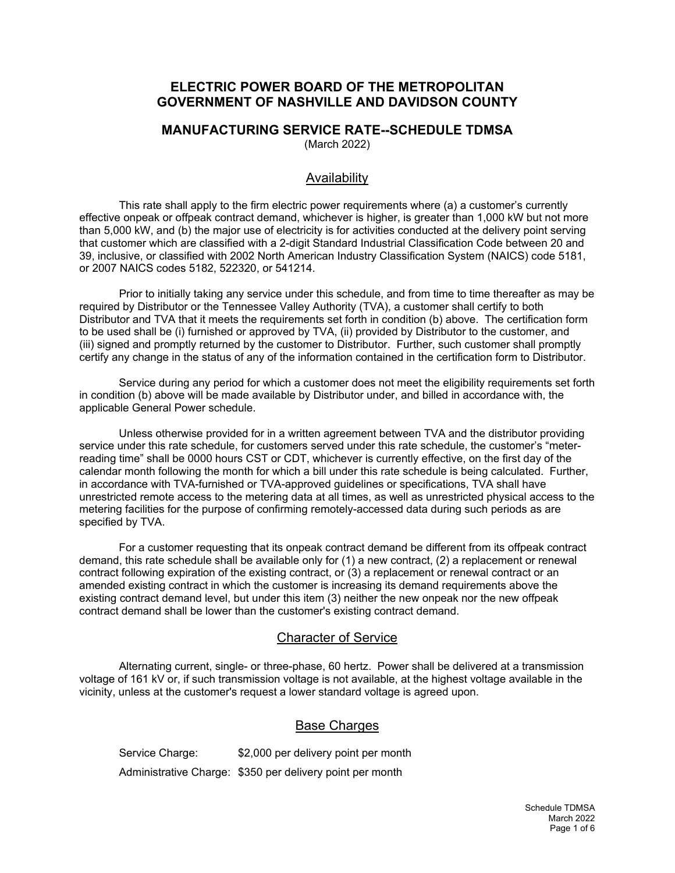## **ELECTRIC POWER BOARD OF THE METROPOLITAN GOVERNMENT OF NASHVILLE AND DAVIDSON COUNTY**

#### **MANUFACTURING SERVICE RATE--SCHEDULE TDMSA** (March 2022)

### Availability

This rate shall apply to the firm electric power requirements where (a) a customer's currently effective onpeak or offpeak contract demand, whichever is higher, is greater than 1,000 kW but not more than 5,000 kW, and (b) the major use of electricity is for activities conducted at the delivery point serving that customer which are classified with a 2-digit Standard Industrial Classification Code between 20 and 39, inclusive, or classified with 2002 North American Industry Classification System (NAICS) code 5181, or 2007 NAICS codes 5182, 522320, or 541214.

Prior to initially taking any service under this schedule, and from time to time thereafter as may be required by Distributor or the Tennessee Valley Authority (TVA), a customer shall certify to both Distributor and TVA that it meets the requirements set forth in condition (b) above. The certification form to be used shall be (i) furnished or approved by TVA, (ii) provided by Distributor to the customer, and (iii) signed and promptly returned by the customer to Distributor. Further, such customer shall promptly certify any change in the status of any of the information contained in the certification form to Distributor.

Service during any period for which a customer does not meet the eligibility requirements set forth in condition (b) above will be made available by Distributor under, and billed in accordance with, the applicable General Power schedule.

Unless otherwise provided for in a written agreement between TVA and the distributor providing service under this rate schedule, for customers served under this rate schedule, the customer's "meterreading time" shall be 0000 hours CST or CDT, whichever is currently effective, on the first day of the calendar month following the month for which a bill under this rate schedule is being calculated. Further, in accordance with TVA-furnished or TVA-approved guidelines or specifications, TVA shall have unrestricted remote access to the metering data at all times, as well as unrestricted physical access to the metering facilities for the purpose of confirming remotely-accessed data during such periods as are specified by TVA.

For a customer requesting that its onpeak contract demand be different from its offpeak contract demand, this rate schedule shall be available only for (1) a new contract, (2) a replacement or renewal contract following expiration of the existing contract, or (3) a replacement or renewal contract or an amended existing contract in which the customer is increasing its demand requirements above the existing contract demand level, but under this item (3) neither the new onpeak nor the new offpeak contract demand shall be lower than the customer's existing contract demand.

### Character of Service

Alternating current, single- or three-phase, 60 hertz. Power shall be delivered at a transmission voltage of 161 kV or, if such transmission voltage is not available, at the highest voltage available in the vicinity, unless at the customer's request a lower standard voltage is agreed upon.

### Base Charges

Service Charge: \$2,000 per delivery point per month Administrative Charge: \$350 per delivery point per month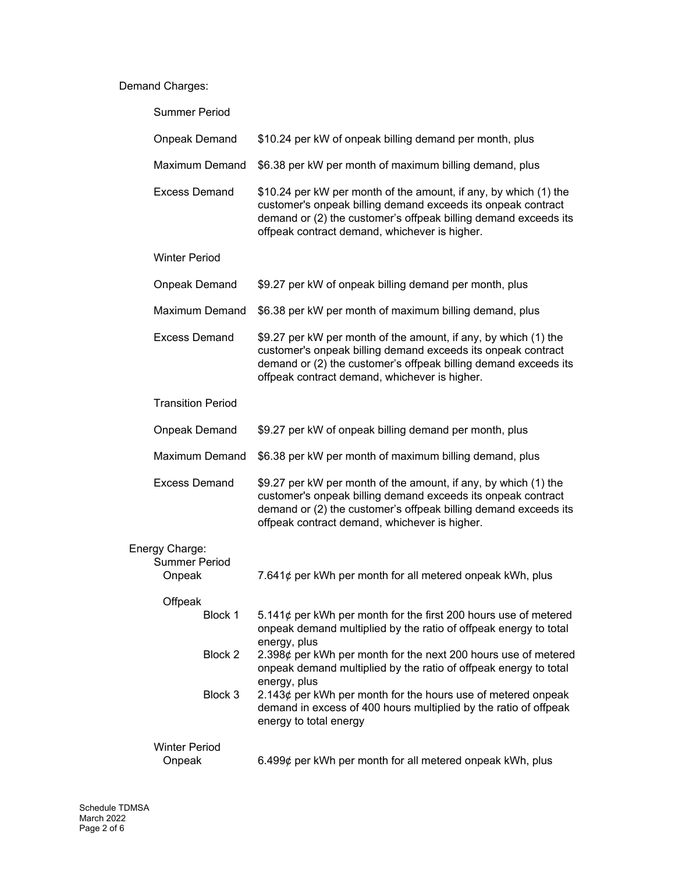# Demand Charges:

| <b>Summer Period</b>           |                                                                                                                                                                                                                                                      |
|--------------------------------|------------------------------------------------------------------------------------------------------------------------------------------------------------------------------------------------------------------------------------------------------|
| <b>Onpeak Demand</b>           | \$10.24 per kW of onpeak billing demand per month, plus                                                                                                                                                                                              |
| <b>Maximum Demand</b>          | \$6.38 per kW per month of maximum billing demand, plus                                                                                                                                                                                              |
| <b>Excess Demand</b>           | \$10.24 per kW per month of the amount, if any, by which (1) the<br>customer's onpeak billing demand exceeds its onpeak contract<br>demand or (2) the customer's offpeak billing demand exceeds its<br>offpeak contract demand, whichever is higher. |
| <b>Winter Period</b>           |                                                                                                                                                                                                                                                      |
| <b>Onpeak Demand</b>           | \$9.27 per kW of onpeak billing demand per month, plus                                                                                                                                                                                               |
| Maximum Demand                 | \$6.38 per kW per month of maximum billing demand, plus                                                                                                                                                                                              |
| <b>Excess Demand</b>           | \$9.27 per kW per month of the amount, if any, by which (1) the<br>customer's onpeak billing demand exceeds its onpeak contract<br>demand or (2) the customer's offpeak billing demand exceeds its<br>offpeak contract demand, whichever is higher.  |
| <b>Transition Period</b>       |                                                                                                                                                                                                                                                      |
| Onpeak Demand                  | \$9.27 per kW of onpeak billing demand per month, plus                                                                                                                                                                                               |
| <b>Maximum Demand</b>          | \$6.38 per kW per month of maximum billing demand, plus                                                                                                                                                                                              |
| <b>Excess Demand</b>           | \$9.27 per kW per month of the amount, if any, by which (1) the<br>customer's onpeak billing demand exceeds its onpeak contract<br>demand or (2) the customer's offpeak billing demand exceeds its<br>offpeak contract demand, whichever is higher.  |
| Energy Charge:                 |                                                                                                                                                                                                                                                      |
| <b>Summer Period</b><br>Onpeak | 7.641¢ per kWh per month for all metered onpeak kWh, plus                                                                                                                                                                                            |
| Offpeak                        |                                                                                                                                                                                                                                                      |
| Block 1                        | 5.141¢ per kWh per month for the first 200 hours use of metered<br>onpeak demand multiplied by the ratio of offpeak energy to total                                                                                                                  |
| Block 2                        | energy, plus<br>2.398¢ per kWh per month for the next 200 hours use of metered<br>onpeak demand multiplied by the ratio of offpeak energy to total<br>energy, plus                                                                                   |
| Block 3                        | 2.143 $\phi$ per kWh per month for the hours use of metered onpeak<br>demand in excess of 400 hours multiplied by the ratio of offpeak<br>energy to total energy                                                                                     |
| <b>Winter Period</b><br>Onpeak | 6.499¢ per kWh per month for all metered onpeak kWh, plus                                                                                                                                                                                            |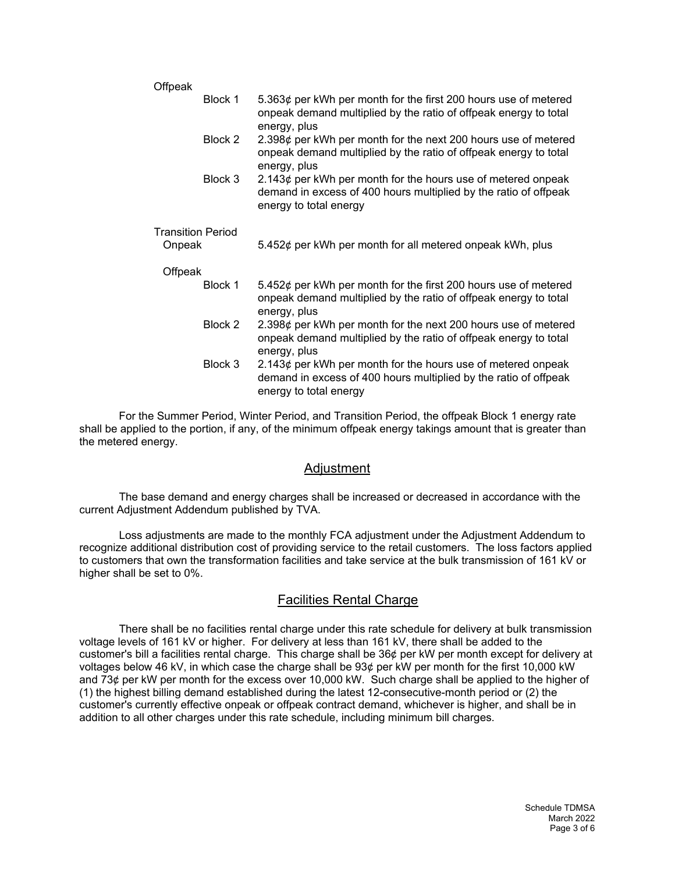| Offpeak                  |         |                                                                                                                                                                  |
|--------------------------|---------|------------------------------------------------------------------------------------------------------------------------------------------------------------------|
|                          | Block 1 | 5.363¢ per kWh per month for the first 200 hours use of metered<br>onpeak demand multiplied by the ratio of offpeak energy to total<br>energy, plus              |
|                          | Block 2 | 2.398¢ per kWh per month for the next 200 hours use of metered<br>onpeak demand multiplied by the ratio of offpeak energy to total<br>energy, plus               |
|                          | Block 3 | 2.143 $\phi$ per kWh per month for the hours use of metered onpeak<br>demand in excess of 400 hours multiplied by the ratio of offpeak<br>energy to total energy |
| <b>Transition Period</b> |         |                                                                                                                                                                  |
| Onpeak                   |         | 5.452¢ per kWh per month for all metered onpeak kWh, plus                                                                                                        |
| Offpeak                  |         |                                                                                                                                                                  |
|                          | Block 1 | 5.452¢ per kWh per month for the first 200 hours use of metered<br>onpeak demand multiplied by the ratio of offpeak energy to total<br>energy, plus              |
|                          | Block 2 | 2.398¢ per kWh per month for the next 200 hours use of metered<br>onpeak demand multiplied by the ratio of offpeak energy to total<br>energy, plus               |
|                          | Block 3 | 2.143 $\phi$ per kWh per month for the hours use of metered onpeak<br>demand in excess of 400 hours multiplied by the ratio of offpeak<br>energy to total energy |

For the Summer Period, Winter Period, and Transition Period, the offpeak Block 1 energy rate shall be applied to the portion, if any, of the minimum offpeak energy takings amount that is greater than the metered energy.

### Adjustment

The base demand and energy charges shall be increased or decreased in accordance with the current Adjustment Addendum published by TVA.

Loss adjustments are made to the monthly FCA adjustment under the Adjustment Addendum to recognize additional distribution cost of providing service to the retail customers. The loss factors applied to customers that own the transformation facilities and take service at the bulk transmission of 161 kV or higher shall be set to 0%.

# Facilities Rental Charge

There shall be no facilities rental charge under this rate schedule for delivery at bulk transmission voltage levels of 161 kV or higher. For delivery at less than 161 kV, there shall be added to the customer's bill a facilities rental charge. This charge shall be 36¢ per kW per month except for delivery at voltages below 46 kV, in which case the charge shall be 93¢ per kW per month for the first 10,000 kW and 73¢ per kW per month for the excess over 10,000 kW. Such charge shall be applied to the higher of (1) the highest billing demand established during the latest 12-consecutive-month period or (2) the customer's currently effective onpeak or offpeak contract demand, whichever is higher, and shall be in addition to all other charges under this rate schedule, including minimum bill charges.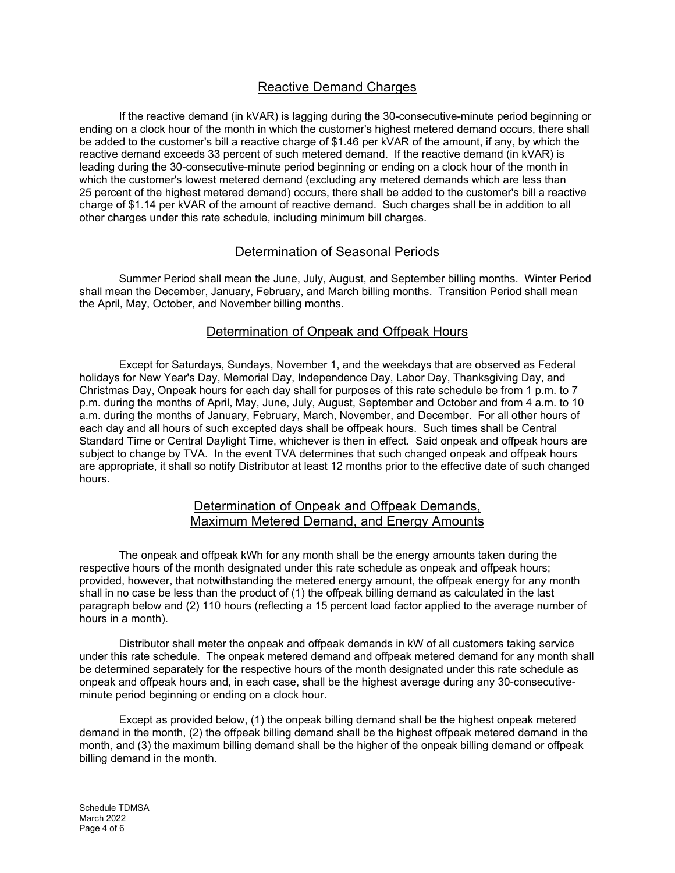# Reactive Demand Charges

If the reactive demand (in kVAR) is lagging during the 30-consecutive-minute period beginning or ending on a clock hour of the month in which the customer's highest metered demand occurs, there shall be added to the customer's bill a reactive charge of \$1.46 per kVAR of the amount, if any, by which the reactive demand exceeds 33 percent of such metered demand. If the reactive demand (in kVAR) is leading during the 30-consecutive-minute period beginning or ending on a clock hour of the month in which the customer's lowest metered demand (excluding any metered demands which are less than 25 percent of the highest metered demand) occurs, there shall be added to the customer's bill a reactive charge of \$1.14 per kVAR of the amount of reactive demand. Such charges shall be in addition to all other charges under this rate schedule, including minimum bill charges.

## Determination of Seasonal Periods

Summer Period shall mean the June, July, August, and September billing months. Winter Period shall mean the December, January, February, and March billing months. Transition Period shall mean the April, May, October, and November billing months.

## Determination of Onpeak and Offpeak Hours

Except for Saturdays, Sundays, November 1, and the weekdays that are observed as Federal holidays for New Year's Day, Memorial Day, Independence Day, Labor Day, Thanksgiving Day, and Christmas Day, Onpeak hours for each day shall for purposes of this rate schedule be from 1 p.m. to 7 p.m. during the months of April, May, June, July, August, September and October and from 4 a.m. to 10 a.m. during the months of January, February, March, November, and December. For all other hours of each day and all hours of such excepted days shall be offpeak hours. Such times shall be Central Standard Time or Central Daylight Time, whichever is then in effect. Said onpeak and offpeak hours are subject to change by TVA. In the event TVA determines that such changed onpeak and offpeak hours are appropriate, it shall so notify Distributor at least 12 months prior to the effective date of such changed hours.

### Determination of Onpeak and Offpeak Demands, Maximum Metered Demand, and Energy Amounts

The onpeak and offpeak kWh for any month shall be the energy amounts taken during the respective hours of the month designated under this rate schedule as onpeak and offpeak hours; provided, however, that notwithstanding the metered energy amount, the offpeak energy for any month shall in no case be less than the product of (1) the offpeak billing demand as calculated in the last paragraph below and (2) 110 hours (reflecting a 15 percent load factor applied to the average number of hours in a month).

Distributor shall meter the onpeak and offpeak demands in kW of all customers taking service under this rate schedule. The onpeak metered demand and offpeak metered demand for any month shall be determined separately for the respective hours of the month designated under this rate schedule as onpeak and offpeak hours and, in each case, shall be the highest average during any 30-consecutiveminute period beginning or ending on a clock hour.

Except as provided below, (1) the onpeak billing demand shall be the highest onpeak metered demand in the month, (2) the offpeak billing demand shall be the highest offpeak metered demand in the month, and (3) the maximum billing demand shall be the higher of the onpeak billing demand or offpeak billing demand in the month.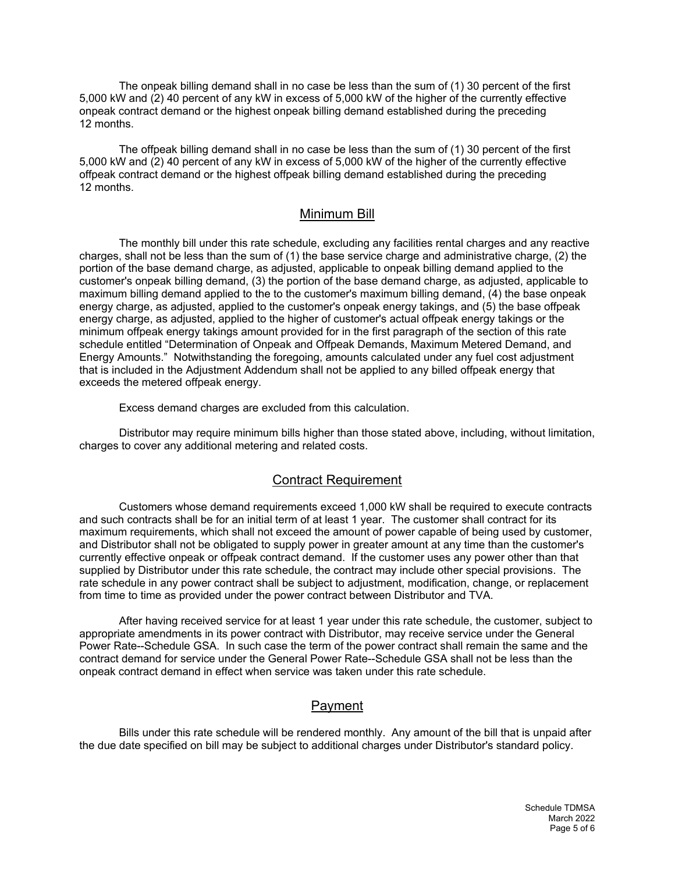The onpeak billing demand shall in no case be less than the sum of (1) 30 percent of the first 5,000 kW and (2) 40 percent of any kW in excess of 5,000 kW of the higher of the currently effective onpeak contract demand or the highest onpeak billing demand established during the preceding 12 months.

The offpeak billing demand shall in no case be less than the sum of (1) 30 percent of the first 5,000 kW and (2) 40 percent of any kW in excess of 5,000 kW of the higher of the currently effective offpeak contract demand or the highest offpeak billing demand established during the preceding 12 months.

### Minimum Bill

The monthly bill under this rate schedule, excluding any facilities rental charges and any reactive charges, shall not be less than the sum of (1) the base service charge and administrative charge, (2) the portion of the base demand charge, as adjusted, applicable to onpeak billing demand applied to the customer's onpeak billing demand, (3) the portion of the base demand charge, as adjusted, applicable to maximum billing demand applied to the to the customer's maximum billing demand, (4) the base onpeak energy charge, as adjusted, applied to the customer's onpeak energy takings, and (5) the base offpeak energy charge, as adjusted, applied to the higher of customer's actual offpeak energy takings or the minimum offpeak energy takings amount provided for in the first paragraph of the section of this rate schedule entitled "Determination of Onpeak and Offpeak Demands, Maximum Metered Demand, and Energy Amounts." Notwithstanding the foregoing, amounts calculated under any fuel cost adjustment that is included in the Adjustment Addendum shall not be applied to any billed offpeak energy that exceeds the metered offpeak energy.

Excess demand charges are excluded from this calculation.

Distributor may require minimum bills higher than those stated above, including, without limitation, charges to cover any additional metering and related costs.

#### Contract Requirement

Customers whose demand requirements exceed 1,000 kW shall be required to execute contracts and such contracts shall be for an initial term of at least 1 year. The customer shall contract for its maximum requirements, which shall not exceed the amount of power capable of being used by customer, and Distributor shall not be obligated to supply power in greater amount at any time than the customer's currently effective onpeak or offpeak contract demand. If the customer uses any power other than that supplied by Distributor under this rate schedule, the contract may include other special provisions. The rate schedule in any power contract shall be subject to adjustment, modification, change, or replacement from time to time as provided under the power contract between Distributor and TVA.

After having received service for at least 1 year under this rate schedule, the customer, subject to appropriate amendments in its power contract with Distributor, may receive service under the General Power Rate--Schedule GSA. In such case the term of the power contract shall remain the same and the contract demand for service under the General Power Rate--Schedule GSA shall not be less than the onpeak contract demand in effect when service was taken under this rate schedule.

# Payment

Bills under this rate schedule will be rendered monthly. Any amount of the bill that is unpaid after the due date specified on bill may be subject to additional charges under Distributor's standard policy.